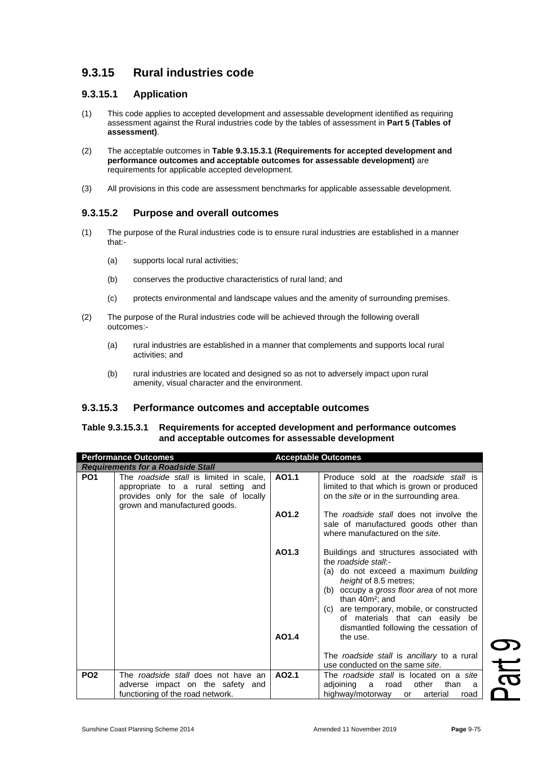# **9.3.15 Rural industries code**

## **9.3.15.1 Application**

- (1) This code applies to accepted development and assessable development identified as requiring assessment against the Rural industries code by the tables of assessment in **Part 5 (Tables of assessment)**.
- (2) The acceptable outcomes in **Table 9.3.15.3.1 (Requirements for accepted development and performance outcomes and acceptable outcomes for assessable development)** are requirements for applicable accepted development.
- (3) All provisions in this code are assessment benchmarks for applicable assessable development.

# **9.3.15.2 Purpose and overall outcomes**

- (1) The purpose of the Rural industries code is to ensure rural industries *a*re established in a manner that:-
	- (a) supports local rural activities;
	- (b) conserves the productive characteristics of rural land; and
	- (c) protects environmental and landscape values and the amenity of surrounding premises.
- (2) The purpose of the Rural industries code will be achieved through the following overall outcomes:-
	- (a) rural industries are established in a manner that complements and supports local rural activities; and
	- (b) rural industries are located and designed so as not to adversely impact upon rural amenity, visual character and the environment.

## **9.3.15.3 Performance outcomes and acceptable outcomes**

### **Table 9.3.15.3.1 Requirements for accepted development and performance outcomes and acceptable outcomes for assessable development**

| <b>Performance Outcomes</b>              |                                                                                                                                                         | <b>Acceptable Outcomes</b> |                                                                                                                                                                                                                                                                                                                                           |
|------------------------------------------|---------------------------------------------------------------------------------------------------------------------------------------------------------|----------------------------|-------------------------------------------------------------------------------------------------------------------------------------------------------------------------------------------------------------------------------------------------------------------------------------------------------------------------------------------|
| <b>Requirements for a Roadside Stall</b> |                                                                                                                                                         |                            |                                                                                                                                                                                                                                                                                                                                           |
| PO <sub>1</sub>                          | The roadside stall is limited in scale,<br>appropriate to a rural setting and<br>provides only for the sale of locally<br>grown and manufactured goods. | AO1.1                      | Produce sold at the roadside stall is<br>limited to that which is grown or produced<br>on the site or in the surrounding area.                                                                                                                                                                                                            |
|                                          |                                                                                                                                                         | AO1.2                      | The roadside stall does not involve the<br>sale of manufactured goods other than<br>where manufactured on the site.                                                                                                                                                                                                                       |
|                                          |                                                                                                                                                         | AO1.3<br>AO1.4             | Buildings and structures associated with<br>the roadside stall:-<br>(a) do not exceed a maximum building<br>height of 8.5 metres;<br>(b) occupy a gross floor area of not more<br>than $40m^2$ ; and<br>(c) are temporary, mobile, or constructed<br>of materials that can easily be<br>dismantled following the cessation of<br>the use. |
|                                          |                                                                                                                                                         |                            | The roadside stall is ancillary to a rural<br>use conducted on the same site.                                                                                                                                                                                                                                                             |
| PO <sub>2</sub>                          | The roadside stall does not have an<br>adverse impact on the safety and<br>functioning of the road network.                                             | AO2.1                      | The <i>roadside stall</i> is located on a site<br>adjoining a<br>other<br>road<br>than<br>a<br>highway/motorway<br>arterial<br>or<br>road                                                                                                                                                                                                 |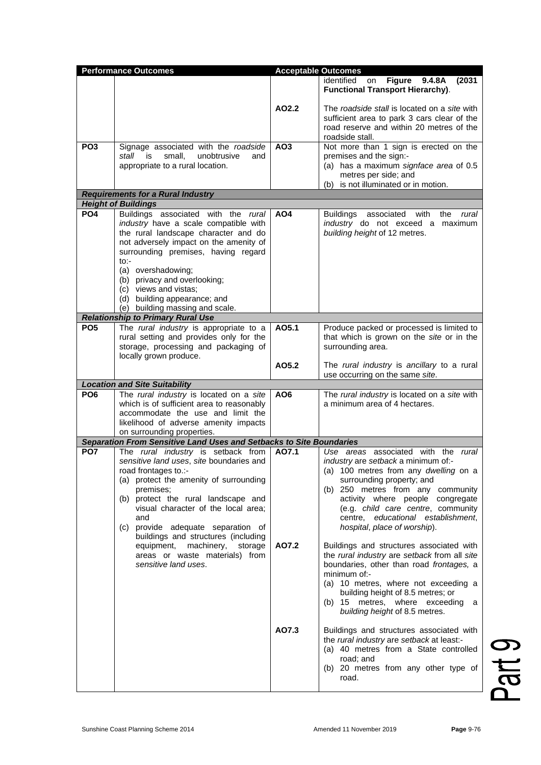| <b>Performance Outcomes</b> |                                                                                                                                                                                                                                                                                                                                                                                                                                  | <b>Acceptable Outcomes</b> |                                                                                                                                                                                                                                                                                                                                                                                                     |  |
|-----------------------------|----------------------------------------------------------------------------------------------------------------------------------------------------------------------------------------------------------------------------------------------------------------------------------------------------------------------------------------------------------------------------------------------------------------------------------|----------------------------|-----------------------------------------------------------------------------------------------------------------------------------------------------------------------------------------------------------------------------------------------------------------------------------------------------------------------------------------------------------------------------------------------------|--|
|                             |                                                                                                                                                                                                                                                                                                                                                                                                                                  |                            | identified<br><b>Figure</b><br>9.4.8A<br>(2031)<br>on<br><b>Functional Transport Hierarchy).</b>                                                                                                                                                                                                                                                                                                    |  |
|                             |                                                                                                                                                                                                                                                                                                                                                                                                                                  | AO2.2                      | The roadside stall is located on a site with<br>sufficient area to park 3 cars clear of the<br>road reserve and within 20 metres of the<br>roadside stall.                                                                                                                                                                                                                                          |  |
| PO <sub>3</sub>             | Signage associated with the roadside<br>small,<br>stall<br>is<br>unobtrusive<br>and<br>appropriate to a rural location.                                                                                                                                                                                                                                                                                                          | AO <sub>3</sub>            | Not more than 1 sign is erected on the<br>premises and the sign:-<br>(a) has a maximum signface area of 0.5<br>metres per side; and<br>(b) is not illuminated or in motion.                                                                                                                                                                                                                         |  |
|                             | <b>Requirements for a Rural Industry</b>                                                                                                                                                                                                                                                                                                                                                                                         |                            |                                                                                                                                                                                                                                                                                                                                                                                                     |  |
|                             | <b>Height of Buildings</b>                                                                                                                                                                                                                                                                                                                                                                                                       |                            |                                                                                                                                                                                                                                                                                                                                                                                                     |  |
| PO <sub>4</sub>             | Buildings associated with the rural<br>industry have a scale compatible with<br>the rural landscape character and do<br>not adversely impact on the amenity of<br>surrounding premises, having regard<br>$to:-$<br>(a) overshadowing;<br>(b) privacy and overlooking;<br>(c) views and vistas:                                                                                                                                   | AO4                        | Buildings associated<br>with<br>the<br>rural<br>industry do not exceed a maximum<br>building height of 12 metres.                                                                                                                                                                                                                                                                                   |  |
|                             | (d) building appearance; and<br>(e) building massing and scale.                                                                                                                                                                                                                                                                                                                                                                  |                            |                                                                                                                                                                                                                                                                                                                                                                                                     |  |
|                             | <b>Relationship to Primary Rural Use</b>                                                                                                                                                                                                                                                                                                                                                                                         |                            |                                                                                                                                                                                                                                                                                                                                                                                                     |  |
| PO <sub>5</sub>             | The rural industry is appropriate to a<br>rural setting and provides only for the<br>storage, processing and packaging of<br>locally grown produce.                                                                                                                                                                                                                                                                              | A05.1                      | Produce packed or processed is limited to<br>that which is grown on the site or in the<br>surrounding area.                                                                                                                                                                                                                                                                                         |  |
|                             |                                                                                                                                                                                                                                                                                                                                                                                                                                  | AO5.2                      | The rural industry is ancillary to a rural<br>use occurring on the same site.                                                                                                                                                                                                                                                                                                                       |  |
|                             | <b>Location and Site Suitability</b>                                                                                                                                                                                                                                                                                                                                                                                             |                            |                                                                                                                                                                                                                                                                                                                                                                                                     |  |
| PO <sub>6</sub>             | The rural industry is located on a site<br>which is of sufficient area to reasonably<br>accommodate the use and limit the<br>likelihood of adverse amenity impacts<br>on surrounding properties.                                                                                                                                                                                                                                 | AO6                        | The rural industry is located on a site with<br>a minimum area of 4 hectares.                                                                                                                                                                                                                                                                                                                       |  |
|                             | Separation From Sensitive Land Uses and Setbacks to Site Boundaries                                                                                                                                                                                                                                                                                                                                                              |                            |                                                                                                                                                                                                                                                                                                                                                                                                     |  |
| PO <sub>7</sub>             | The rural industry is setback from<br>sensitive land uses, site boundaries and<br>road frontages to.:-<br>(a) protect the amenity of surrounding<br>premises;<br>(b) protect the rural landscape and<br>visual character of the local area;<br>and<br>provide adequate separation of<br>(C)<br>buildings and structures (including<br>equipment, machinery,<br>storage<br>areas or waste materials) from<br>sensitive land uses. | AO7.1                      | Use areas associated with the rural<br><i>industry</i> are setback a minimum of:-<br>(a) 100 metres from any dwelling on a<br>surrounding property; and<br>(b) 250 metres from any community<br>activity where people congregate<br>(e.g. child care centre, community<br>centre, educational establishment,<br>hospital, place of worship).                                                        |  |
|                             |                                                                                                                                                                                                                                                                                                                                                                                                                                  | AO7.2<br>AO7.3             | Buildings and structures associated with<br>the rural industry are setback from all site<br>boundaries, other than road frontages, a<br>minimum of:-<br>(a) 10 metres, where not exceeding a<br>building height of 8.5 metres; or<br>(b) 15 metres, where exceeding<br>a<br>building height of 8.5 metres.<br>Buildings and structures associated with<br>the rural industry are setback at least:- |  |
|                             |                                                                                                                                                                                                                                                                                                                                                                                                                                  |                            | (a) 40 metres from a State controlled<br>road; and<br>(b) 20 metres from any other type of<br>road.                                                                                                                                                                                                                                                                                                 |  |

Part 9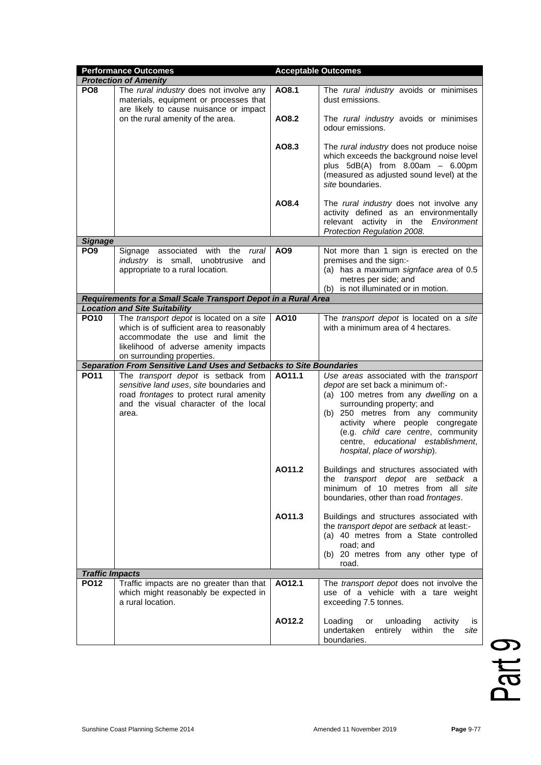|                        | <b>Performance Outcomes</b>                                                                                                                                                                       | <b>Acceptable Outcomes</b> |                                                                                                                                                                                                                                                                                                                                         |  |  |
|------------------------|---------------------------------------------------------------------------------------------------------------------------------------------------------------------------------------------------|----------------------------|-----------------------------------------------------------------------------------------------------------------------------------------------------------------------------------------------------------------------------------------------------------------------------------------------------------------------------------------|--|--|
|                        | <b>Protection of Amenity</b>                                                                                                                                                                      |                            |                                                                                                                                                                                                                                                                                                                                         |  |  |
| PO <sub>8</sub>        | The rural industry does not involve any<br>materials, equipment or processes that<br>are likely to cause nuisance or impact                                                                       | AO8.1                      | The rural industry avoids or minimises<br>dust emissions.                                                                                                                                                                                                                                                                               |  |  |
|                        | on the rural amenity of the area.                                                                                                                                                                 | AO8.2                      | The rural industry avoids or minimises<br>odour emissions.                                                                                                                                                                                                                                                                              |  |  |
|                        |                                                                                                                                                                                                   | AO8.3                      | The rural industry does not produce noise<br>which exceeds the background noise level<br>plus $5dB(A)$ from $8.00am - 6.00pm$<br>(measured as adjusted sound level) at the<br>site boundaries.                                                                                                                                          |  |  |
|                        |                                                                                                                                                                                                   | AO8.4                      | The rural industry does not involve any<br>activity defined as an environmentally<br>relevant activity in the Environment<br>Protection Regulation 2008.                                                                                                                                                                                |  |  |
| <b>Signage</b>         |                                                                                                                                                                                                   |                            |                                                                                                                                                                                                                                                                                                                                         |  |  |
| PO <sub>9</sub>        | associated with the<br>Signage<br>rural<br><i>industry</i> is small, unobtrusive<br>and<br>appropriate to a rural location.                                                                       | AO <sub>9</sub>            | Not more than 1 sign is erected on the<br>premises and the sign:-<br>(a) has a maximum signface area of 0.5<br>metres per side; and<br>is not illuminated or in motion.<br>(b)                                                                                                                                                          |  |  |
|                        | Requirements for a Small Scale Transport Depot in a Rural Area                                                                                                                                    |                            |                                                                                                                                                                                                                                                                                                                                         |  |  |
|                        | <b>Location and Site Suitability</b>                                                                                                                                                              |                            |                                                                                                                                                                                                                                                                                                                                         |  |  |
| <b>PO10</b>            | The transport depot is located on a site<br>which is of sufficient area to reasonably<br>accommodate the use and limit the<br>likelihood of adverse amenity impacts<br>on surrounding properties. | AO10                       | The transport depot is located on a site<br>with a minimum area of 4 hectares.                                                                                                                                                                                                                                                          |  |  |
|                        | Separation From Sensitive Land Uses and Setbacks to Site Boundaries                                                                                                                               |                            |                                                                                                                                                                                                                                                                                                                                         |  |  |
| <b>PO11</b>            | The transport depot is setback from<br>sensitive land uses, site boundaries and<br>road frontages to protect rural amenity<br>and the visual character of the local<br>area.                      | A011.1                     | Use areas associated with the transport<br>depot are set back a minimum of:-<br>(a) 100 metres from any dwelling on a<br>surrounding property; and<br>(b) 250 metres from any community<br>activity where people congregate<br>(e.g. child care centre, community<br>centre, educational establishment,<br>hospital, place of worship). |  |  |
|                        |                                                                                                                                                                                                   | AO11.2                     | Buildings and structures associated with<br>the transport depot are setback a<br>minimum of 10 metres from all site<br>boundaries, other than road frontages.                                                                                                                                                                           |  |  |
|                        |                                                                                                                                                                                                   | AO11.3                     | Buildings and structures associated with<br>the transport depot are setback at least:-<br>(a) 40 metres from a State controlled<br>road; and<br>(b) 20 metres from any other type of<br>road.                                                                                                                                           |  |  |
| <b>Traffic Impacts</b> |                                                                                                                                                                                                   |                            |                                                                                                                                                                                                                                                                                                                                         |  |  |
| <b>PO12</b>            | Traffic impacts are no greater than that<br>which might reasonably be expected in<br>a rural location.                                                                                            | AO12.1                     | The transport depot does not involve the<br>use of a vehicle with a tare weight<br>exceeding 7.5 tonnes.                                                                                                                                                                                                                                |  |  |
|                        |                                                                                                                                                                                                   | AO12.2                     | Loading<br>unloading<br>or<br>activity<br>IS<br>undertaken<br>entirely within<br>the<br>site<br>boundaries.                                                                                                                                                                                                                             |  |  |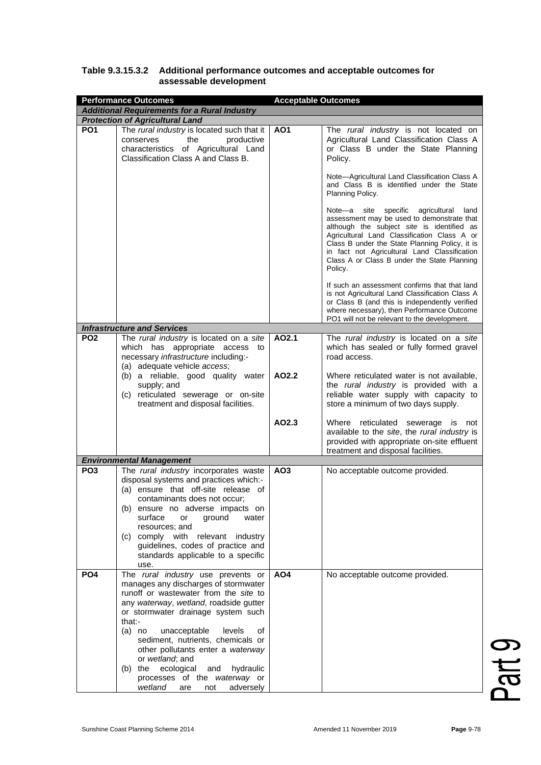| <b>Performance Outcomes</b><br><b>Acceptable Outcomes</b> |                                                                                                                                                                                                                                                                                                                                                                                                                                                                        |                 |                                                                                                                                                                                                                                                                                                                                                  |  |
|-----------------------------------------------------------|------------------------------------------------------------------------------------------------------------------------------------------------------------------------------------------------------------------------------------------------------------------------------------------------------------------------------------------------------------------------------------------------------------------------------------------------------------------------|-----------------|--------------------------------------------------------------------------------------------------------------------------------------------------------------------------------------------------------------------------------------------------------------------------------------------------------------------------------------------------|--|
| <b>Additional Requirements for a Rural Industry</b>       |                                                                                                                                                                                                                                                                                                                                                                                                                                                                        |                 |                                                                                                                                                                                                                                                                                                                                                  |  |
|                                                           | <b>Protection of Agricultural Land</b>                                                                                                                                                                                                                                                                                                                                                                                                                                 |                 |                                                                                                                                                                                                                                                                                                                                                  |  |
| PO <sub>1</sub>                                           | The rural industry is located such that it<br>the<br>conserves<br>productive<br>characteristics of Agricultural Land<br>Classification Class A and Class B.                                                                                                                                                                                                                                                                                                            | AO <sub>1</sub> | The rural industry is not located on<br>Agricultural Land Classification Class A<br>or Class B under the State Planning<br>Policy.                                                                                                                                                                                                               |  |
|                                                           |                                                                                                                                                                                                                                                                                                                                                                                                                                                                        |                 | Note-Agricultural Land Classification Class A<br>and Class B is identified under the State<br>Planning Policy.                                                                                                                                                                                                                                   |  |
|                                                           |                                                                                                                                                                                                                                                                                                                                                                                                                                                                        |                 | Note-a site specific agricultural<br>land<br>assessment may be used to demonstrate that<br>although the subject site is identified as<br>Agricultural Land Classification Class A or<br>Class B under the State Planning Policy, it is<br>in fact not Agricultural Land Classification<br>Class A or Class B under the State Planning<br>Policy. |  |
|                                                           |                                                                                                                                                                                                                                                                                                                                                                                                                                                                        |                 | If such an assessment confirms that that land<br>is not Agricultural Land Classification Class A<br>or Class B (and this is independently verified<br>where necessary), then Performance Outcome<br>PO1 will not be relevant to the development.                                                                                                 |  |
| PO <sub>2</sub>                                           | <b>Infrastructure and Services</b><br>The rural industry is located on a site                                                                                                                                                                                                                                                                                                                                                                                          |                 |                                                                                                                                                                                                                                                                                                                                                  |  |
|                                                           | which has appropriate access to<br>necessary infrastructure including:-<br>(a) adequate vehicle access;                                                                                                                                                                                                                                                                                                                                                                | AO2.1           | The rural industry is located on a site<br>which has sealed or fully formed gravel<br>road access.                                                                                                                                                                                                                                               |  |
|                                                           | (b) a reliable, good quality water<br>supply; and<br>(c) reticulated sewerage or on-site<br>treatment and disposal facilities.                                                                                                                                                                                                                                                                                                                                         | AO2.2           | Where reticulated water is not available,<br>the rural industry is provided with a<br>reliable water supply with capacity to<br>store a minimum of two days supply.                                                                                                                                                                              |  |
|                                                           |                                                                                                                                                                                                                                                                                                                                                                                                                                                                        | AO2.3           | Where reticulated sewerage is not<br>available to the site, the rural industry is<br>provided with appropriate on-site effluent<br>treatment and disposal facilities.                                                                                                                                                                            |  |
|                                                           | <b>Environmental Management</b>                                                                                                                                                                                                                                                                                                                                                                                                                                        |                 |                                                                                                                                                                                                                                                                                                                                                  |  |
| PO <sub>3</sub>                                           | The rural industry incorporates waste<br>disposal systems and practices which:-<br>(a) ensure that off-site release of<br>contaminants does not occur;<br>(b) ensure no adverse impacts on<br>surface<br>ground<br>water<br>or<br>resources; and<br>(c) comply with relevant industry<br>guidelines, codes of practice and<br>standards applicable to a specific<br>use.                                                                                               | AO <sub>3</sub> | No acceptable outcome provided.                                                                                                                                                                                                                                                                                                                  |  |
| PO <sub>4</sub>                                           | The rural industry use prevents or<br>manages any discharges of stormwater<br>runoff or wastewater from the site to<br>any waterway, wetland, roadside gutter<br>or stormwater drainage system such<br>that:-<br>$(a)$ no<br>unacceptable<br>levels<br>οf<br>sediment, nutrients, chemicals or<br>other pollutants enter a waterway<br>or wetland; and<br>(b) the ecological<br>and<br>hydraulic<br>processes of the waterway or<br>wetland<br>adversely<br>are<br>not | AO <sub>4</sub> | No acceptable outcome provided.                                                                                                                                                                                                                                                                                                                  |  |

### **Table 9.3.15.3.2 Additional performance outcomes and acceptable outcomes for assessable development**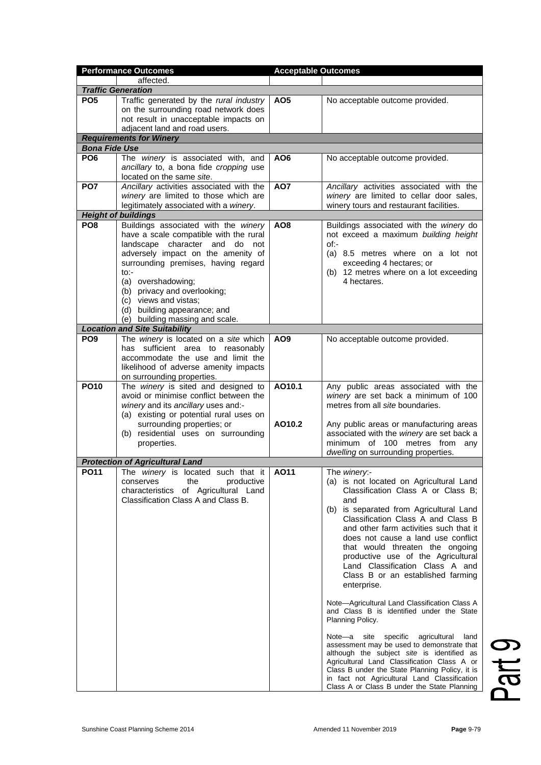| <b>Performance Outcomes</b> |                                                                                                                                                                                                                                                                                                                                                           | <b>Acceptable Outcomes</b> |                                                                                                                                                                                                                                                                                                                                                                                                                                                      |  |
|-----------------------------|-----------------------------------------------------------------------------------------------------------------------------------------------------------------------------------------------------------------------------------------------------------------------------------------------------------------------------------------------------------|----------------------------|------------------------------------------------------------------------------------------------------------------------------------------------------------------------------------------------------------------------------------------------------------------------------------------------------------------------------------------------------------------------------------------------------------------------------------------------------|--|
|                             | affected.                                                                                                                                                                                                                                                                                                                                                 |                            |                                                                                                                                                                                                                                                                                                                                                                                                                                                      |  |
|                             | <b>Traffic Generation</b>                                                                                                                                                                                                                                                                                                                                 |                            |                                                                                                                                                                                                                                                                                                                                                                                                                                                      |  |
| PO <sub>5</sub>             | Traffic generated by the rural industry<br>on the surrounding road network does<br>not result in unacceptable impacts on<br>adjacent land and road users.                                                                                                                                                                                                 | AO <sub>5</sub>            | No acceptable outcome provided.                                                                                                                                                                                                                                                                                                                                                                                                                      |  |
|                             | <b>Requirements for Winery</b>                                                                                                                                                                                                                                                                                                                            |                            |                                                                                                                                                                                                                                                                                                                                                                                                                                                      |  |
| <b>Bona Fide Use</b>        |                                                                                                                                                                                                                                                                                                                                                           |                            |                                                                                                                                                                                                                                                                                                                                                                                                                                                      |  |
| PO <sub>6</sub>             | The winery is associated with, and<br>ancillary to, a bona fide cropping use<br>located on the same site.                                                                                                                                                                                                                                                 | AO <sub>6</sub>            | No acceptable outcome provided.                                                                                                                                                                                                                                                                                                                                                                                                                      |  |
| PO <sub>7</sub>             | Ancillary activities associated with the<br>winery are limited to those which are<br>legitimately associated with a winery.                                                                                                                                                                                                                               | AO7                        | Ancillary activities associated with the<br>winery are limited to cellar door sales,<br>winery tours and restaurant facilities.                                                                                                                                                                                                                                                                                                                      |  |
|                             | <b>Height of buildings</b>                                                                                                                                                                                                                                                                                                                                |                            |                                                                                                                                                                                                                                                                                                                                                                                                                                                      |  |
| PO <sub>8</sub>             | Buildings associated with the winery<br>have a scale compatible with the rural<br>landscape character and do not<br>adversely impact on the amenity of<br>surrounding premises, having regard<br>$to:-$<br>(a) overshadowing;<br>(b) privacy and overlooking;<br>(c) views and vistas;<br>(d) building appearance; and<br>(e) building massing and scale. | AO <sub>8</sub>            | Buildings associated with the winery do<br>not exceed a maximum building height<br>$of:-$<br>(a) 8.5 metres where on a lot not<br>exceeding 4 hectares; or<br>(b) 12 metres where on a lot exceeding<br>4 hectares.                                                                                                                                                                                                                                  |  |
|                             | <b>Location and Site Suitability</b>                                                                                                                                                                                                                                                                                                                      |                            |                                                                                                                                                                                                                                                                                                                                                                                                                                                      |  |
| PO <sub>9</sub>             | The winery is located on a site which<br>has sufficient area to reasonably<br>accommodate the use and limit the<br>likelihood of adverse amenity impacts<br>on surrounding properties.                                                                                                                                                                    | AO <sub>9</sub>            | No acceptable outcome provided.                                                                                                                                                                                                                                                                                                                                                                                                                      |  |
| <b>PO10</b>                 | The winery is sited and designed to<br>avoid or minimise conflict between the<br>winery and its ancillary uses and:-<br>(a) existing or potential rural uses on<br>surrounding properties; or<br>(b) residential uses on surrounding                                                                                                                      | AO10.1<br>AO10.2           | Any public areas associated with the<br>winery are set back a minimum of 100<br>metres from all site boundaries.<br>Any public areas or manufacturing areas<br>associated with the winery are set back a                                                                                                                                                                                                                                             |  |
|                             | properties.                                                                                                                                                                                                                                                                                                                                               |                            | minimum of 100 metres from<br>any<br>dwelling on surrounding properties.                                                                                                                                                                                                                                                                                                                                                                             |  |
|                             | <b>Protection of Agricultural Land</b>                                                                                                                                                                                                                                                                                                                    |                            |                                                                                                                                                                                                                                                                                                                                                                                                                                                      |  |
|                             | PO11   The winery is located such that it  <br>the<br>productive<br>conserves<br>characteristics of Agricultural Land<br>Classification Class A and Class B.                                                                                                                                                                                              | AO11                       | The winery:-<br>(a) is not located on Agricultural Land<br>Classification Class A or Class B;<br>and<br>(b) is separated from Agricultural Land<br>Classification Class A and Class B<br>and other farm activities such that it<br>does not cause a land use conflict<br>that would threaten the ongoing<br>productive use of the Agricultural<br>Land Classification Class A and<br>Class B or an established farming<br>enterprise.                |  |
|                             |                                                                                                                                                                                                                                                                                                                                                           |                            | Note-Agricultural Land Classification Class A<br>and Class B is identified under the State<br>Planning Policy.<br>Note-a site specific agricultural land<br>assessment may be used to demonstrate that<br>although the subject site is identified as<br>Agricultural Land Classification Class A or<br>Class B under the State Planning Policy, it is<br>in fact not Agricultural Land Classification<br>Class A or Class B under the State Planning |  |

Part 9